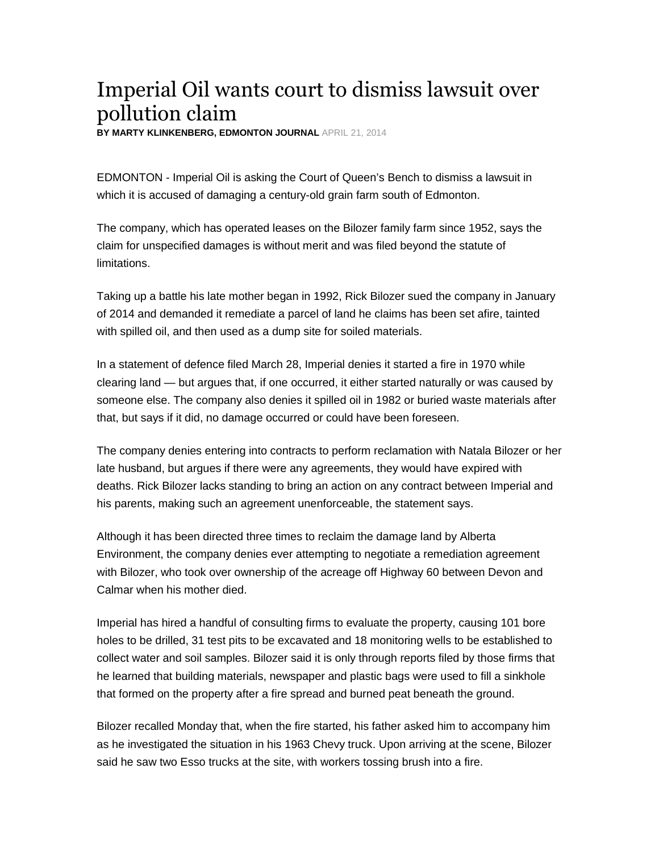## Imperial Oil wants court to dismiss lawsuit over pollution claim

**BY MARTY KLINKENBERG, EDMONTON JOURNAL** APRIL 21, 2014

EDMONTON - Imperial Oil is asking the Court of Queen's Bench to dismiss a lawsuit in which it is accused of damaging a century-old grain farm south of Edmonton.

The company, which has operated leases on the Bilozer family farm since 1952, says the claim for unspecified damages is without merit and was filed beyond the statute of limitations.

Taking up a battle his late mother began in 1992, Rick Bilozer sued the company in January of 2014 and demanded it remediate a parcel of land he claims has been set afire, tainted with spilled oil, and then used as a dump site for soiled materials.

In a statement of defence filed March 28, Imperial denies it started a fire in 1970 while clearing land — but argues that, if one occurred, it either started naturally or was caused by someone else. The company also denies it spilled oil in 1982 or buried waste materials after that, but says if it did, no damage occurred or could have been foreseen.

The company denies entering into contracts to perform reclamation with Natala Bilozer or her late husband, but argues if there were any agreements, they would have expired with deaths. Rick Bilozer lacks standing to bring an action on any contract between Imperial and his parents, making such an agreement unenforceable, the statement says.

Although it has been directed three times to reclaim the damage land by Alberta Environment, the company denies ever attempting to negotiate a remediation agreement with Bilozer, who took over ownership of the acreage off Highway 60 between Devon and Calmar when his mother died.

Imperial has hired a handful of consulting firms to evaluate the property, causing 101 bore holes to be drilled, 31 test pits to be excavated and 18 monitoring wells to be established to collect water and soil samples. Bilozer said it is only through reports filed by those firms that he learned that building materials, newspaper and plastic bags were used to fill a sinkhole that formed on the property after a fire spread and burned peat beneath the ground.

Bilozer recalled Monday that, when the fire started, his father asked him to accompany him as he investigated the situation in his 1963 Chevy truck. Upon arriving at the scene, Bilozer said he saw two Esso trucks at the site, with workers tossing brush into a fire.